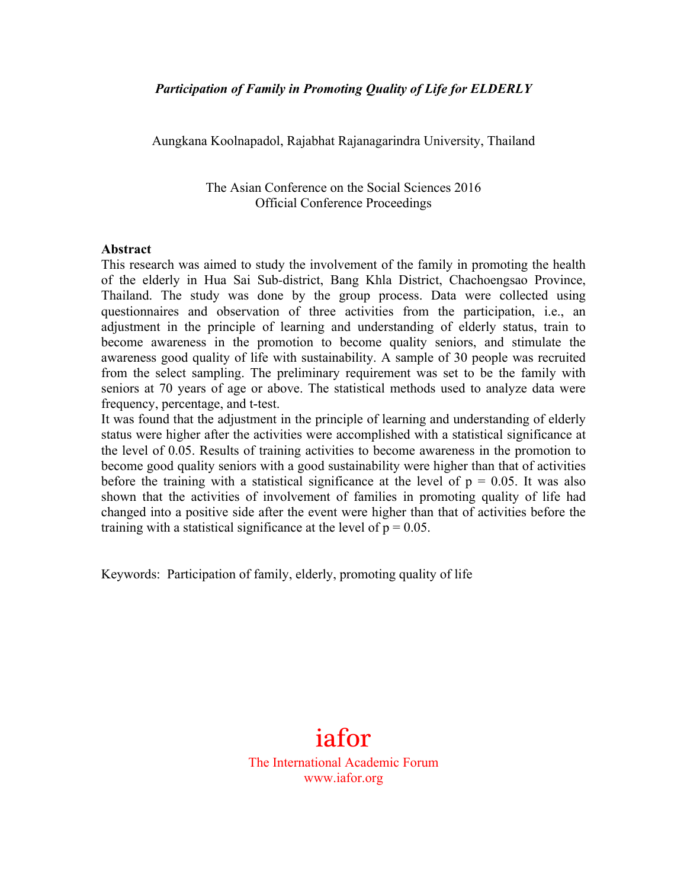Aungkana Koolnapadol, Rajabhat Rajanagarindra University, Thailand

The Asian Conference on the Social Sciences 2016 Official Conference Proceedings

#### **Abstract**

This research was aimed to study the involvement of the family in promoting the health of the elderly in Hua Sai Sub*-*district, Bang Khla District, Chachoengsao Province, Thailand. The study was done by the group process. Data were collected using questionnaires and observation of three activities from the participation, i.e., an adjustment in the principle of learning and understanding of elderly status, train to become awareness in the promotion to become quality seniors, and stimulate the awareness good quality of life with sustainability. A sample of 30 people was recruited from the select sampling. The preliminary requirement was set to be the family with seniors at 70 years of age or above. The statistical methods used to analyze data were frequency, percentage, and t-test.

It was found that the adjustment in the principle of learning and understanding of elderly status were higher after the activities were accomplished with a statistical significance at the level of 0.05. Results of training activities to become awareness in the promotion to become good quality seniors with a good sustainability were higher than that of activities before the training with a statistical significance at the level of  $p = 0.05$ . It was also shown that the activities of involvement of families in promoting quality of life had changed into a positive side after the event were higher than that of activities before the training with a statistical significance at the level of  $p = 0.05$ .

Keywords: Participation of family, elderly, promoting quality of life

# iafor

The International Academic Forum www.iafor.org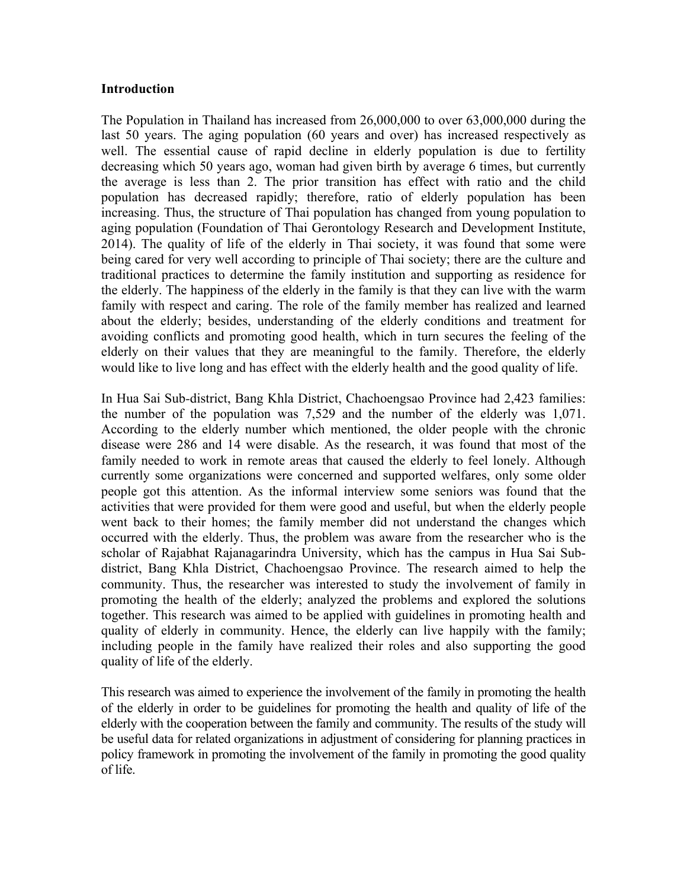#### **Introduction**

The Population in Thailand has increased from 26,000,000 to over 63,000,000 during the last 50 years. The aging population (60 years and over) has increased respectively as well. The essential cause of rapid decline in elderly population is due to fertility decreasing which 50 years ago, woman had given birth by average 6 times, but currently the average is less than 2. The prior transition has effect with ratio and the child population has decreased rapidly; therefore, ratio of elderly population has been increasing. Thus, the structure of Thai population has changed from young population to aging population (Foundation of Thai Gerontology Research and Development Institute, 2014). The quality of life of the elderly in Thai society, it was found that some were being cared for very well according to principle of Thai society; there are the culture and traditional practices to determine the family institution and supporting as residence for the elderly. The happiness of the elderly in the family is that they can live with the warm family with respect and caring. The role of the family member has realized and learned about the elderly; besides, understanding of the elderly conditions and treatment for avoiding conflicts and promoting good health, which in turn secures the feeling of the elderly on their values that they are meaningful to the family. Therefore, the elderly would like to live long and has effect with the elderly health and the good quality of life.

In Hua Sai Sub*-*district, Bang Khla District, Chachoengsao Province had 2,423 families: the number of the population was 7,529 and the number of the elderly was 1,071. According to the elderly number which mentioned, the older people with the chronic disease were 286 and 14 were disable. As the research, it was found that most of the family needed to work in remote areas that caused the elderly to feel lonely. Although currently some organizations were concerned and supported welfares, only some older people got this attention. As the informal interview some seniors was found that the activities that were provided for them were good and useful, but when the elderly people went back to their homes; the family member did not understand the changes which occurred with the elderly. Thus, the problem was aware from the researcher who is the scholar of Rajabhat Rajanagarindra University, which has the campus in Hua Sai Subdistrict, Bang Khla District, Chachoengsao Province. The research aimed to help the community. Thus, the researcher was interested to study the involvement of family in promoting the health of the elderly; analyzed the problems and explored the solutions together. This research was aimed to be applied with guidelines in promoting health and quality of elderly in community. Hence, the elderly can live happily with the family; including people in the family have realized their roles and also supporting the good quality of life of the elderly.

This research was aimed to experience the involvement of the family in promoting the health of the elderly in order to be guidelines for promoting the health and quality of life of the elderly with the cooperation between the family and community. The results of the study will be useful data for related organizations in adjustment of considering for planning practices in policy framework in promoting the involvement of the family in promoting the good quality of life.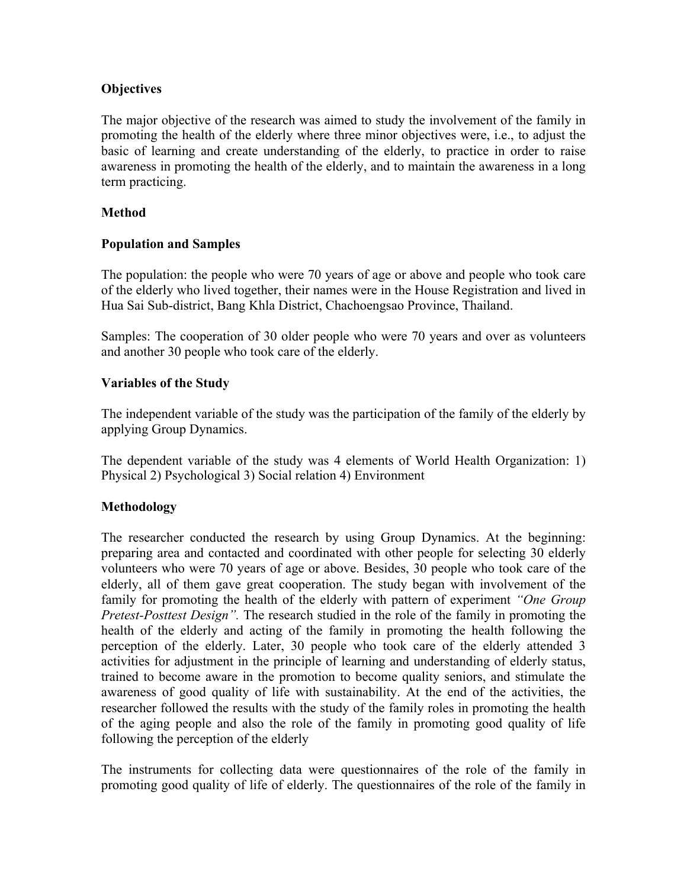## **Objectives**

The major objective of the research was aimed to study the involvement of the family in promoting the health of the elderly where three minor objectives were, i.e., to adjust the basic of learning and create understanding of the elderly, to practice in order to raise awareness in promoting the health of the elderly, and to maintain the awareness in a long term practicing.

## **Method**

## **Population and Samples**

The population: the people who were 70 years of age or above and people who took care of the elderly who lived together, their names were in the House Registration and lived in Hua Sai Sub-district, Bang Khla District, Chachoengsao Province, Thailand.

Samples: The cooperation of 30 older people who were 70 years and over as volunteers and another 30 people who took care of the elderly.

## **Variables of the Study**

The independent variable of the study was the participation of the family of the elderly by applying Group Dynamics.

The dependent variable of the study was 4 elements of World Health Organization: 1) Physical 2) Psychological 3) Social relation 4) Environment

## **Methodology**

The researcher conducted the research by using Group Dynamics. At the beginning: preparing area and contacted and coordinated with other people for selecting 30 elderly volunteers who were 70 years of age or above. Besides, 30 people who took care of the elderly, all of them gave great cooperation. The study began with involvement of the family for promoting the health of the elderly with pattern of experiment *"One Group Pretest-Posttest Design".* The research studied in the role of the family in promoting the health of the elderly and acting of the family in promoting the health following the perception of the elderly. Later, 30 people who took care of the elderly attended 3 activities for adjustment in the principle of learning and understanding of elderly status, trained to become aware in the promotion to become quality seniors, and stimulate the awareness of good quality of life with sustainability. At the end of the activities, the researcher followed the results with the study of the family roles in promoting the health of the aging people and also the role of the family in promoting good quality of life following the perception of the elderly

The instruments for collecting data were questionnaires of the role of the family in promoting good quality of life of elderly. The questionnaires of the role of the family in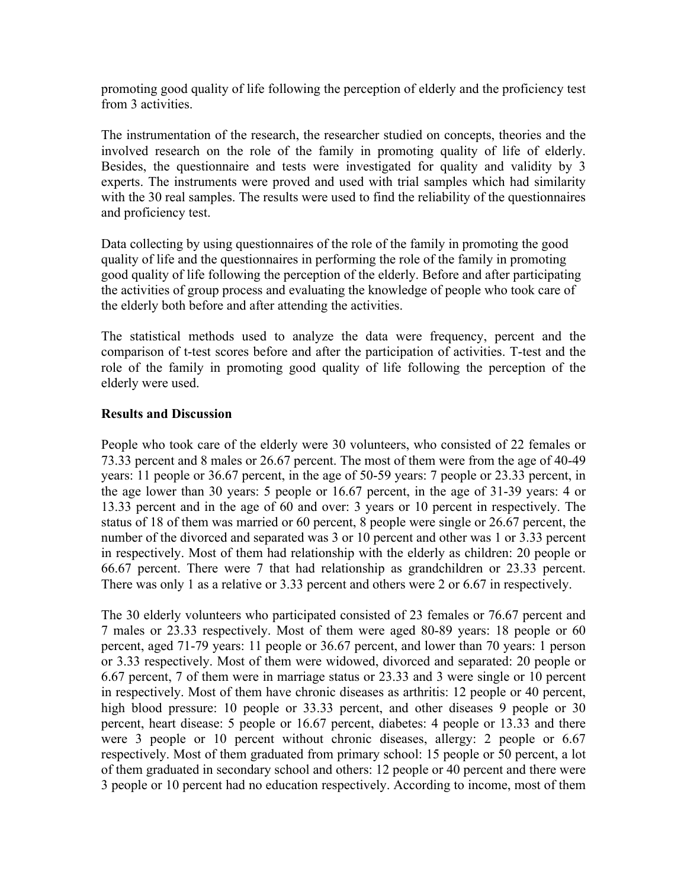promoting good quality of life following the perception of elderly and the proficiency test from 3 activities.

The instrumentation of the research, the researcher studied on concepts, theories and the involved research on the role of the family in promoting quality of life of elderly. Besides, the questionnaire and tests were investigated for quality and validity by 3 experts. The instruments were proved and used with trial samples which had similarity with the 30 real samples. The results were used to find the reliability of the questionnaires and proficiency test.

Data collecting by using questionnaires of the role of the family in promoting the good quality of life and the questionnaires in performing the role of the family in promoting good quality of life following the perception of the elderly. Before and after participating the activities of group process and evaluating the knowledge of people who took care of the elderly both before and after attending the activities.

The statistical methods used to analyze the data were frequency, percent and the comparison of t-test scores before and after the participation of activities. T-test and the role of the family in promoting good quality of life following the perception of the elderly were used.

#### **Results and Discussion**

People who took care of the elderly were 30 volunteers, who consisted of 22 females or 73.33 percent and 8 males or 26.67 percent. The most of them were from the age of 40-49 years: 11 people or 36.67 percent, in the age of 50-59 years: 7 people or 23.33 percent, in the age lower than 30 years: 5 people or 16.67 percent, in the age of 31-39 years: 4 or 13.33 percent and in the age of 60 and over: 3 years or 10 percent in respectively. The status of 18 of them was married or 60 percent, 8 people were single or 26.67 percent, the number of the divorced and separated was 3 or 10 percent and other was 1 or 3.33 percent in respectively. Most of them had relationship with the elderly as children: 20 people or 66.67 percent. There were 7 that had relationship as grandchildren or 23.33 percent. There was only 1 as a relative or 3.33 percent and others were 2 or 6.67 in respectively.

The 30 elderly volunteers who participated consisted of 23 females or 76.67 percent and 7 males or 23.33 respectively. Most of them were aged 80-89 years: 18 people or 60 percent, aged 71-79 years: 11 people or 36.67 percent, and lower than 70 years: 1 person or 3.33 respectively. Most of them were widowed, divorced and separated: 20 people or 6.67 percent, 7 of them were in marriage status or 23.33 and 3 were single or 10 percent in respectively. Most of them have chronic diseases as arthritis: 12 people or 40 percent, high blood pressure: 10 people or 33.33 percent, and other diseases 9 people or 30 percent, heart disease: 5 people or 16.67 percent, diabetes: 4 people or 13.33 and there were 3 people or 10 percent without chronic diseases, allergy: 2 people or 6.67 respectively. Most of them graduated from primary school: 15 people or 50 percent, a lot of them graduated in secondary school and others: 12 people or 40 percent and there were 3 people or 10 percent had no education respectively. According to income, most of them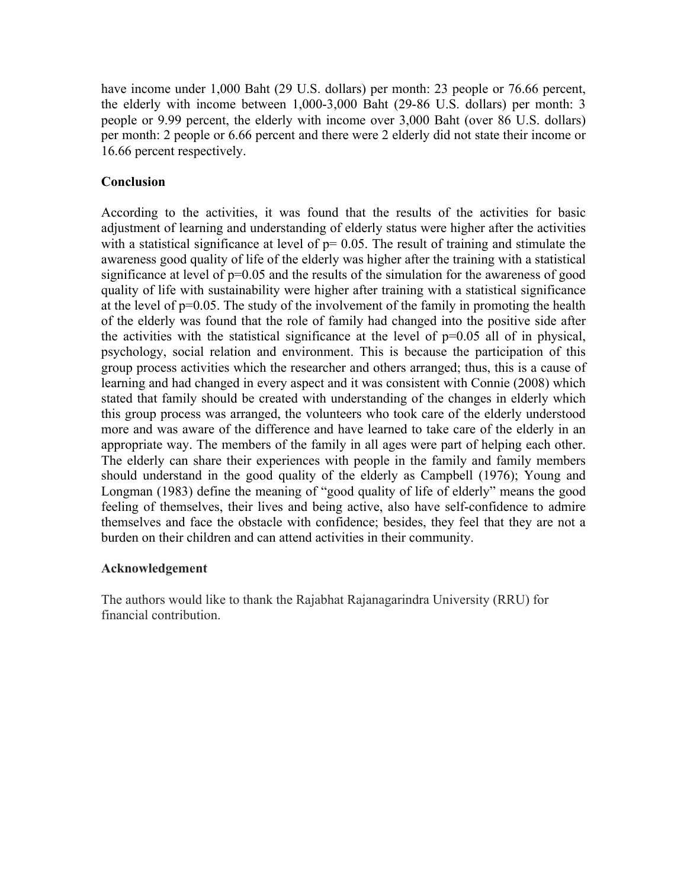have income under 1,000 Baht (29 U.S. dollars) per month: 23 people or 76.66 percent, the elderly with income between 1,000-3,000 Baht (29-86 U.S. dollars) per month: 3 people or 9.99 percent, the elderly with income over 3,000 Baht (over 86 U.S. dollars) per month: 2 people or 6.66 percent and there were 2 elderly did not state their income or 16.66 percent respectively.

## **Conclusion**

According to the activities, it was found that the results of the activities for basic adjustment of learning and understanding of elderly status were higher after the activities with a statistical significance at level of  $p= 0.05$ . The result of training and stimulate the awareness good quality of life of the elderly was higher after the training with a statistical significance at level of  $p=0.05$  and the results of the simulation for the awareness of good quality of life with sustainability were higher after training with a statistical significance at the level of p=0.05. The study of the involvement of the family in promoting the health of the elderly was found that the role of family had changed into the positive side after the activities with the statistical significance at the level of  $p=0.05$  all of in physical, psychology, social relation and environment. This is because the participation of this group process activities which the researcher and others arranged; thus, this is a cause of learning and had changed in every aspect and it was consistent with Connie (2008) which stated that family should be created with understanding of the changes in elderly which this group process was arranged, the volunteers who took care of the elderly understood more and was aware of the difference and have learned to take care of the elderly in an appropriate way. The members of the family in all ages were part of helping each other. The elderly can share their experiences with people in the family and family members should understand in the good quality of the elderly as Campbell (1976); Young and Longman (1983) define the meaning of "good quality of life of elderly" means the good feeling of themselves, their lives and being active, also have self-confidence to admire themselves and face the obstacle with confidence; besides, they feel that they are not a burden on their children and can attend activities in their community.

## **Acknowledgement**

The authors would like to thank the Rajabhat Rajanagarindra University (RRU) for financial contribution.